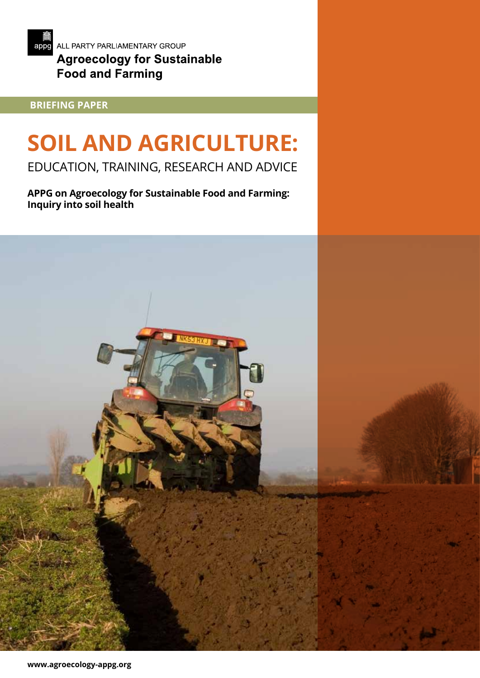

# **BRIEFING PAPER**

# **SOIL AND AGRICULTURE:**

EDUCATION, TRAINING, RESEARCH AND ADVICE

**APPG on Agroecology for Sustainable Food and Farming: Inquiry into soil health**

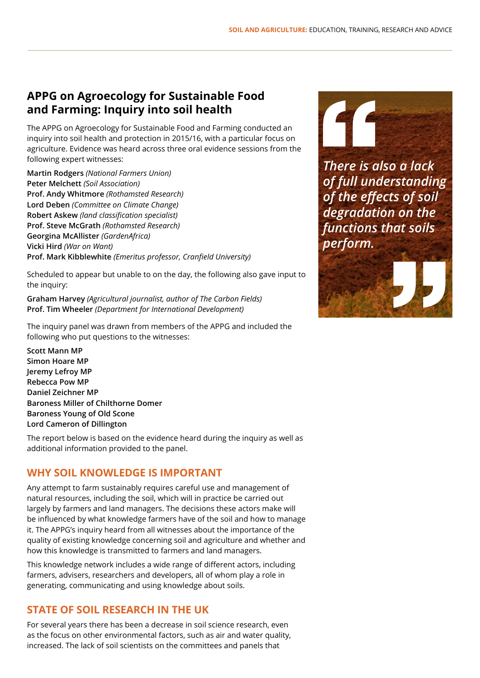# **APPG on Agroecology for Sustainable Food and Farming: Inquiry into soil health**

The APPG on Agroecology for Sustainable Food and Farming conducted an inquiry into soil health and protection in 2015/16, with a particular focus on agriculture. Evidence was heard across three oral evidence sessions from the following expert witnesses:

**Martin Rodgers** *(National Farmers Union)* **Peter Melchett** *(Soil Association)* **Prof. Andy Whitmore** *(Rothamsted Research)* **Lord Deben** *(Committee on Climate Change)* **Robert Askew** *(land classification specialist)* **Prof. Steve McGrath** *(Rothamsted Research)* **Georgina McAllister** *(GardenAfrica)* **Vicki Hird** *(War on Want)* **Prof. Mark Kibblewhite** *(Emeritus professor, Cranfield University)*

Scheduled to appear but unable to on the day, the following also gave input to the inquiry:

**Graham Harvey** *(Agricultural journalist, author of The Carbon Fields)* **Prof. Tim Wheeler** *(Department for International Development)*

The inquiry panel was drawn from members of the APPG and included the following who put questions to the witnesses:

**Scott Mann MP Simon Hoare MP Jeremy Lefroy MP Rebecca Pow MP Daniel Zeichner MP Baroness Miller of Chilthorne Domer Baroness Young of Old Scone Lord Cameron of Dillington**

The report below is based on the evidence heard during the inquiry as well as additional information provided to the panel.

## **WHY SOIL KNOWLEDGE IS IMPORTANT**

Any attempt to farm sustainably requires careful use and management of natural resources, including the soil, which will in practice be carried out largely by farmers and land managers. The decisions these actors make will be influenced by what knowledge farmers have of the soil and how to manage it. The APPG's inquiry heard from all witnesses about the importance of the quality of existing knowledge concerning soil and agriculture and whether and how this knowledge is transmitted to farmers and land managers.

This knowledge network includes a wide range of different actors, including farmers, advisers, researchers and developers, all of whom play a role in generating, communicating and using knowledge about soils.

## **STATE OF SOIL RESEARCH IN THE UK**

For several years there has been a decrease in soil science research, even as the focus on other environmental factors, such as air and water quality, increased. The lack of soil scientists on the committees and panels that



*There is also a lack of full understanding of the effects of soil degradation on the functions that soils perform.*

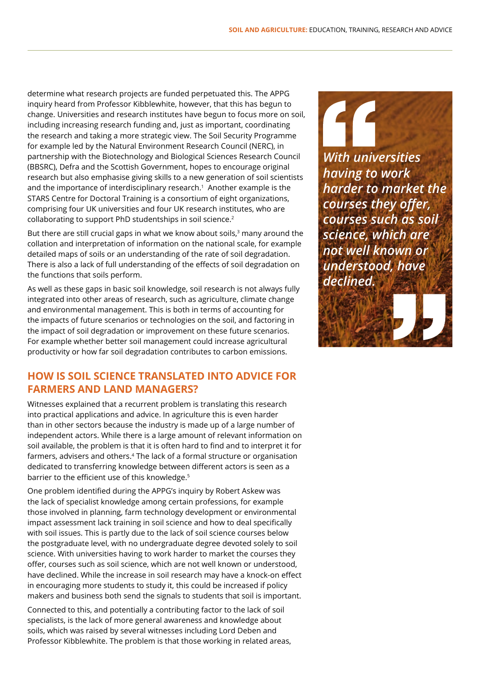determine what research projects are funded perpetuated this. The APPG inquiry heard from Professor Kibblewhite, however, that this has begun to change. Universities and research institutes have begun to focus more on soil, including increasing research funding and, just as important, coordinating the research and taking a more strategic view. The Soil Security Programme for example led by the Natural Environment Research Council (NERC), in partnership with the Biotechnology and Biological Sciences Research Council (BBSRC), Defra and the Scottish Government, hopes to encourage original research but also emphasise giving skills to a new generation of soil scientists and the importance of interdisciplinary research.<sup>1</sup> Another example is the STARS Centre for Doctoral Training is a consortium of eight organizations, comprising four UK universities and four UK research institutes, who are collaborating to support PhD studentships in soil science.<sup>2</sup>

But there are still crucial gaps in what we know about soils,<sup>3</sup> many around the collation and interpretation of information on the national scale, for example detailed maps of soils or an understanding of the rate of soil degradation. There is also a lack of full understanding of the effects of soil degradation on the functions that soils perform.

As well as these gaps in basic soil knowledge, soil research is not always fully integrated into other areas of research, such as agriculture, climate change and environmental management. This is both in terms of accounting for the impacts of future scenarios or technologies on the soil, and factoring in the impact of soil degradation or improvement on these future scenarios. For example whether better soil management could increase agricultural productivity or how far soil degradation contributes to carbon emissions.

### **HOW IS SOIL SCIENCE TRANSLATED INTO ADVICE FOR FARMERS AND LAND MANAGERS?**

Witnesses explained that a recurrent problem is translating this research into practical applications and advice. In agriculture this is even harder than in other sectors because the industry is made up of a large number of independent actors. While there is a large amount of relevant information on soil available, the problem is that it is often hard to find and to interpret it for farmers, advisers and others.<sup>4</sup> The lack of a formal structure or organisation dedicated to transferring knowledge between different actors is seen as a barrier to the efficient use of this knowledge.<sup>5</sup>

One problem identified during the APPG's inquiry by Robert Askew was the lack of specialist knowledge among certain professions, for example those involved in planning, farm technology development or environmental impact assessment lack training in soil science and how to deal specifically with soil issues. This is partly due to the lack of soil science courses below the postgraduate level, with no undergraduate degree devoted solely to soil science. With universities having to work harder to market the courses they offer, courses such as soil science, which are not well known or understood, have declined. While the increase in soil research may have a knock-on effect in encouraging more students to study it, this could be increased if policy makers and business both send the signals to students that soil is important.

Connected to this, and potentially a contributing factor to the lack of soil specialists, is the lack of more general awareness and knowledge about soils, which was raised by several witnesses including Lord Deben and Professor Kibblewhite. The problem is that those working in related areas, *With universities having to work harder to market the courses they offer, courses such as soil science, which are not well known or understood, have declined.*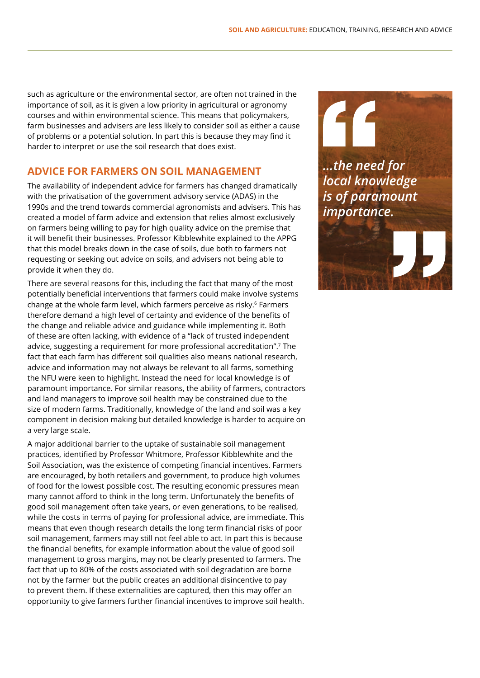such as agriculture or the environmental sector, are often not trained in the importance of soil, as it is given a low priority in agricultural or agronomy courses and within environmental science. This means that policymakers, farm businesses and advisers are less likely to consider soil as either a cause of problems or a potential solution. In part this is because they may find it harder to interpret or use the soil research that does exist.

#### **ADVICE FOR FARMERS ON SOIL MANAGEMENT**

The availability of independent advice for farmers has changed dramatically with the privatisation of the government advisory service (ADAS) in the 1990s and the trend towards commercial agronomists and advisers. This has created a model of farm advice and extension that relies almost exclusively on farmers being willing to pay for high quality advice on the premise that it will benefit their businesses. Professor Kibblewhite explained to the APPG that this model breaks down in the case of soils, due both to farmers not requesting or seeking out advice on soils, and advisers not being able to provide it when they do.

There are several reasons for this, including the fact that many of the most potentially beneficial interventions that farmers could make involve systems change at the whole farm level, which farmers perceive as risky.<sup>6</sup> Farmers therefore demand a high level of certainty and evidence of the benefits of the change and reliable advice and guidance while implementing it. Both of these are often lacking, with evidence of a "lack of trusted independent advice, suggesting a requirement for more professional accreditation".7 The fact that each farm has different soil qualities also means national research, advice and information may not always be relevant to all farms, something the NFU were keen to highlight. Instead the need for local knowledge is of paramount importance. For similar reasons, the ability of farmers, contractors and land managers to improve soil health may be constrained due to the size of modern farms. Traditionally, knowledge of the land and soil was a key component in decision making but detailed knowledge is harder to acquire on a very large scale.

A major additional barrier to the uptake of sustainable soil management practices, identified by Professor Whitmore, Professor Kibblewhite and the Soil Association, was the existence of competing financial incentives. Farmers are encouraged, by both retailers and government, to produce high volumes of food for the lowest possible cost. The resulting economic pressures mean many cannot afford to think in the long term. Unfortunately the benefits of good soil management often take years, or even generations, to be realised, while the costs in terms of paying for professional advice, are immediate. This means that even though research details the long term financial risks of poor soil management, farmers may still not feel able to act. In part this is because the financial benefits, for example information about the value of good soil management to gross margins, may not be clearly presented to farmers. The fact that up to 80% of the costs associated with soil degradation are borne not by the farmer but the public creates an additional disincentive to pay to prevent them. If these externalities are captured, then this may offer an opportunity to give farmers further financial incentives to improve soil health.

*...the need for local knowledge is of paramount importance.*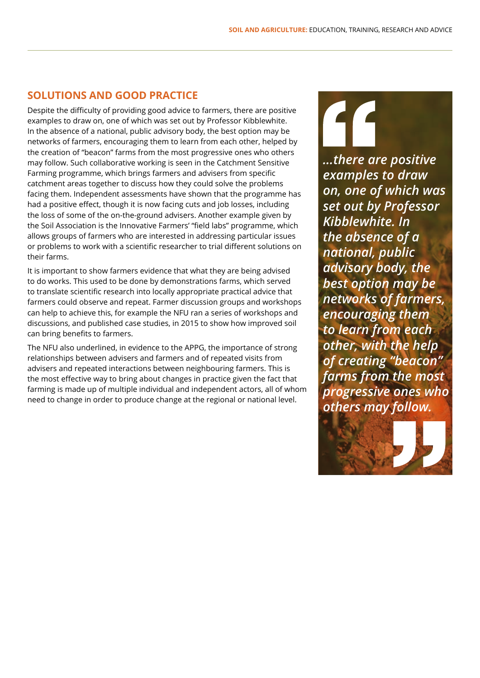46

#### **SOLUTIONS AND GOOD PRACTICE**

Despite the difficulty of providing good advice to farmers, there are positive examples to draw on, one of which was set out by Professor Kibblewhite. In the absence of a national, public advisory body, the best option may be networks of farmers, encouraging them to learn from each other, helped by the creation of "beacon" farms from the most progressive ones who others may follow. Such collaborative working is seen in the Catchment Sensitive Farming programme, which brings farmers and advisers from specific catchment areas together to discuss how they could solve the problems facing them. Independent assessments have shown that the programme has had a positive effect, though it is now facing cuts and job losses, including the loss of some of the on-the-ground advisers. Another example given by the Soil Association is the Innovative Farmers' "field labs" programme, which allows groups of farmers who are interested in addressing particular issues or problems to work with a scientific researcher to trial different solutions on their farms.

It is important to show farmers evidence that what they are being advised to do works. This used to be done by demonstrations farms, which served to translate scientific research into locally appropriate practical advice that farmers could observe and repeat. Farmer discussion groups and workshops can help to achieve this, for example the NFU ran a series of workshops and discussions, and published case studies, in 2015 to show how improved soil can bring benefits to farmers.

The NFU also underlined, in evidence to the APPG, the importance of strong relationships between advisers and farmers and of repeated visits from advisers and repeated interactions between neighbouring farmers. This is the most effective way to bring about changes in practice given the fact that farming is made up of multiple individual and independent actors, all of whom need to change in order to produce change at the regional or national level.

*...there are positive examples to draw on, one of which was set out by Professor Kibblewhite. In the absence of a national, public advisory body, the best option may be networks of farmers, encouraging them to learn from each other, with the help of creating "beacon" farms from the most progressive ones who others may follow.*